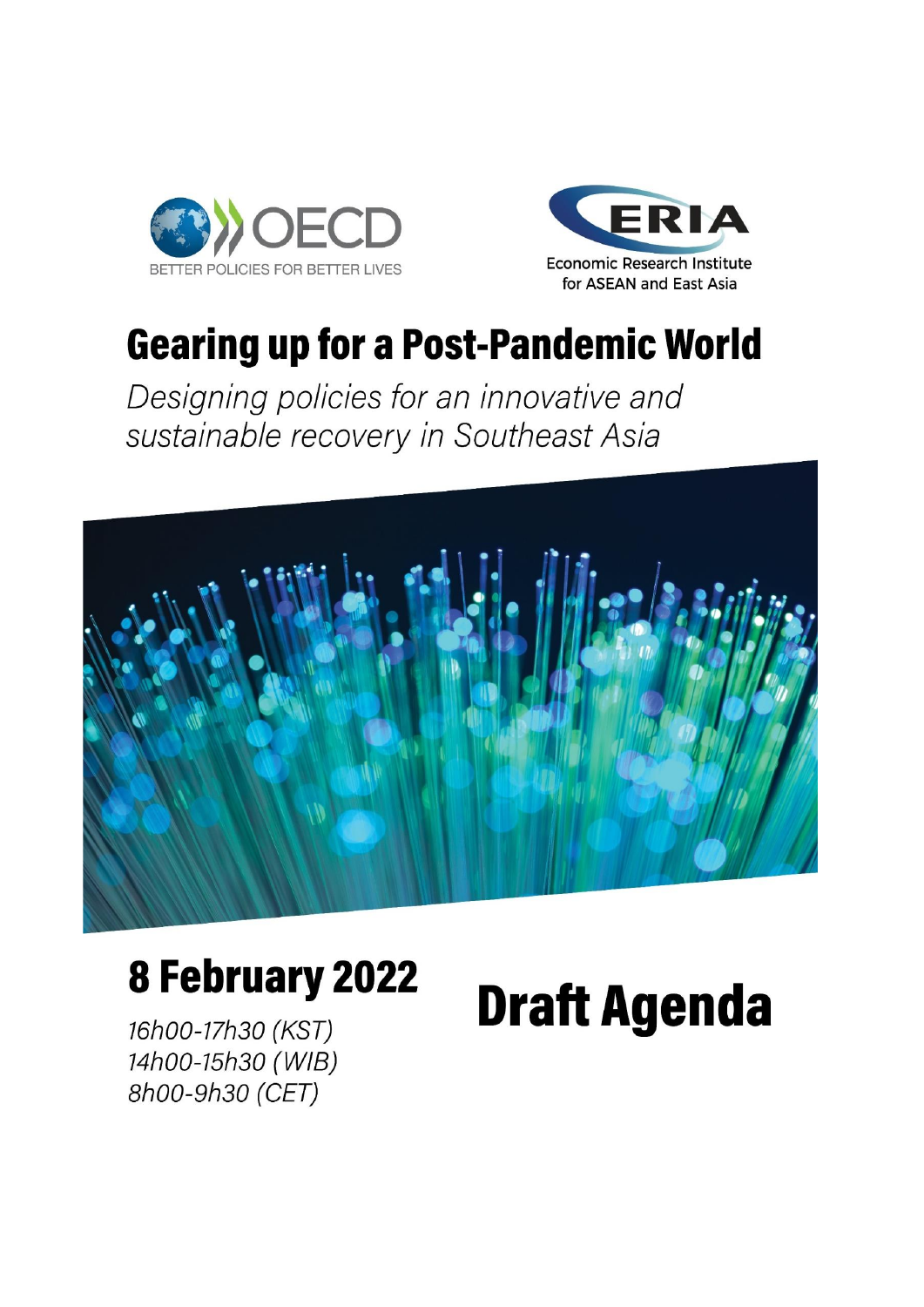



# **Gearing up for a Post-Pandemic World**

Designing policies for an innovative and sustainable recovery in Southeast Asia



# **8 February 2022**

**Draft Agenda** 

16h00-17h30 (KST) 14h00-15h30 (WIB) 8h00-9h30 (CET)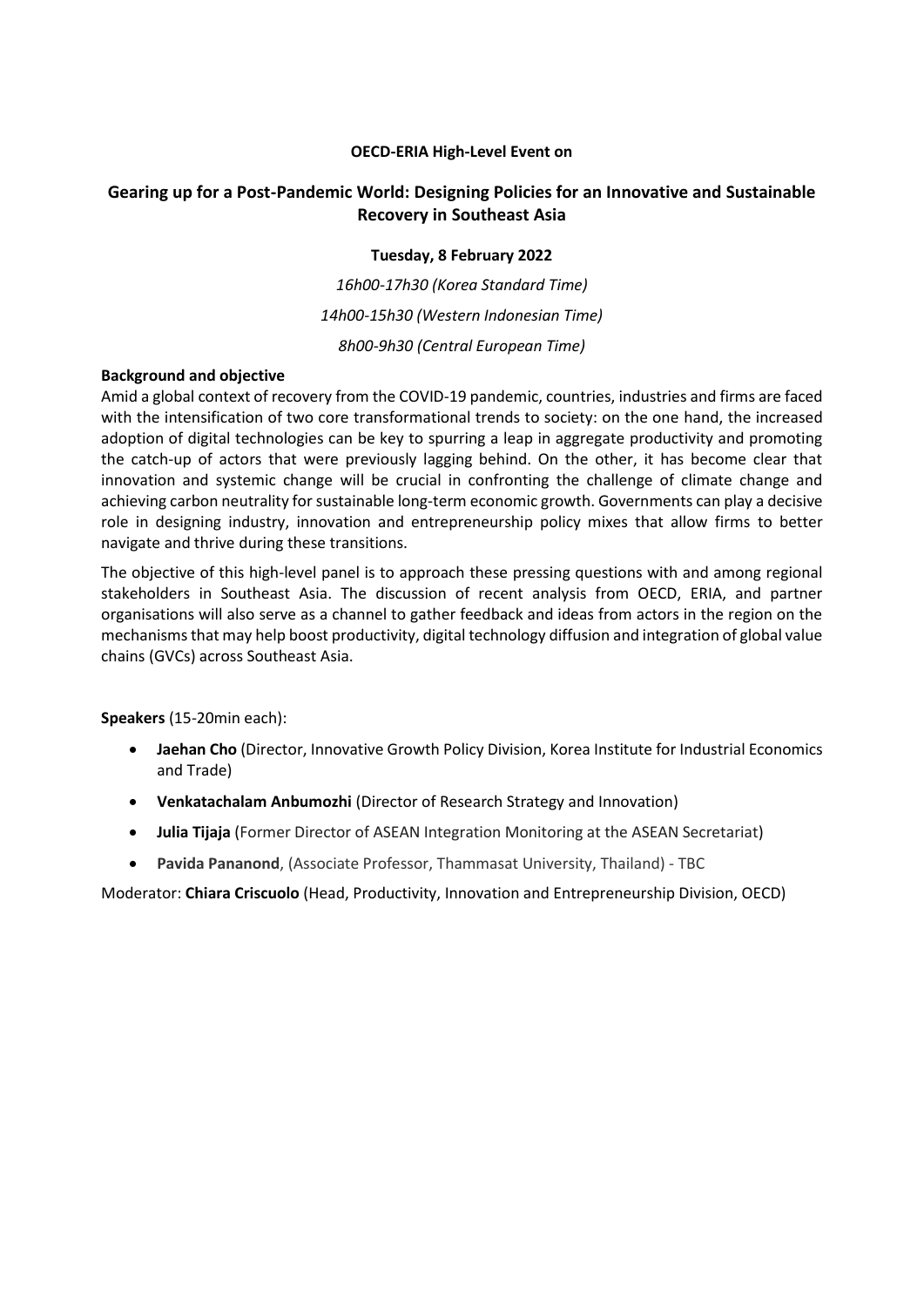# **OECD-ERIA High-Level Event on**

# **Gearing up for a Post-Pandemic World: Designing Policies for an Innovative and Sustainable Recovery in Southeast Asia**

# **Tuesday, 8 February 2022**

*16h00-17h30 (Korea Standard Time) 14h00-15h30 (Western Indonesian Time) 8h00-9h30 (Central European Time)*

#### **Background and objective**

Amid a global context of recovery from the COVID-19 pandemic, countries, industries and firms are faced with the intensification of two core transformational trends to society: on the one hand, the increased adoption of digital technologies can be key to spurring a leap in aggregate productivity and promoting the catch-up of actors that were previously lagging behind. On the other, it has become clear that innovation and systemic change will be crucial in confronting the challenge of climate change and achieving carbon neutrality for sustainable long-term economic growth. Governments can play a decisive role in designing industry, innovation and entrepreneurship policy mixes that allow firms to better navigate and thrive during these transitions.

The objective of this high-level panel is to approach these pressing questions with and among regional stakeholders in Southeast Asia. The discussion of recent analysis from OECD, ERIA, and partner organisations will also serve as a channel to gather feedback and ideas from actors in the region on the mechanisms that may help boost productivity, digital technology diffusion and integration of global value chains (GVCs) across Southeast Asia.

**Speakers** (15-20min each):

- **Jaehan Cho** (Director, Innovative Growth Policy Division, Korea Institute for Industrial Economics and Trade)
- **Venkatachalam Anbumozhi** (Director of Research Strategy and Innovation)
- **Julia Tijaja** (Former Director of ASEAN Integration Monitoring at the ASEAN Secretariat)
- **Pavida Pananond**, (Associate Professor, Thammasat University, Thailand) TBC

Moderator: **Chiara Criscuolo** (Head, Productivity, Innovation and Entrepreneurship Division, OECD)